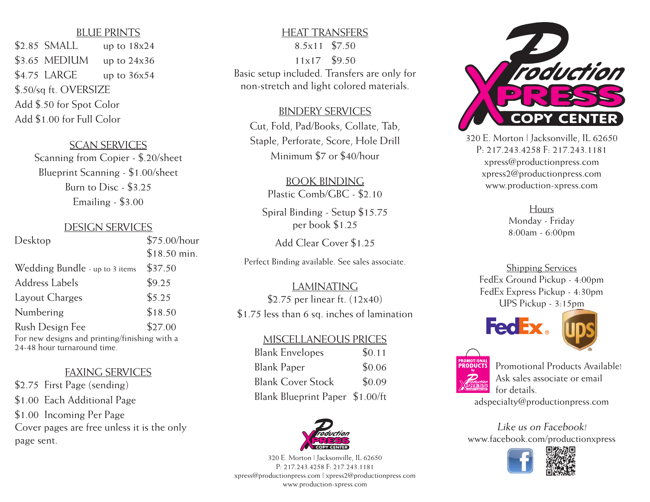### **BLUE PRINTS**

 $$2.85$  SMALL up to  $18x24$  $$3.65$  MEDIUM up to 24x36  $$4.75$  LARGE up to  $36x54$ \$.50/sq ft. OVERSIZE Add \$.50 for Spot Color Add \$1.00 for Full Color

#### **SCAN SERVICES**

Scanning from Copier - \$.20/sheet Blueprint Scanning - \$1.00/sheet Burn to Disc - \$3.25 Emailing - \$3.00

### Design Services

| Desktop                                                                      | $$75.00/h$ our |
|------------------------------------------------------------------------------|----------------|
|                                                                              | $$18.50$ min.  |
| Wedding Bundle - up to 3 items                                               | \$37.50        |
| <b>Address Labels</b>                                                        | \$9.25         |
| Layout Charges                                                               | \$5.25         |
| Numbering                                                                    | \$18.50        |
| Rush Design Fee                                                              | \$27.00        |
| For new designs and printing/finishing with a<br>24-48 hour turnaround time. |                |

## Faxing Services

\$2.75 First Page (sending) \$1.00 Each Additional Page \$1.00 Incoming Per Page Cover pages are free unless it is the only page sent.

# Heat Transfers 8.5x11 \$7.50 11x17 \$9.50 Basic setup included. Transfers are only for non-stretch and light colored materials.

### Bindery Services

Cut, Fold, Pad/Books, Collate, Tab, Staple, Perforate, Score, Hole Drill Minimum \$7 or \$40/hour

> Book Binding Plastic Comb/GBC - \$2.10

Spiral Binding - Setup \$15.75 per book \$1.25

Add Clear Cover \$1.25

Perfect Binding available. See sales associate.

**LAMINATING** \$2.75 per linear ft. (12x40) \$1.75 less than 6 sq. inches of lamination

### Miscellaneous Prices

| <b>Blank Envelopes</b>          | \$0.11 |
|---------------------------------|--------|
| <b>Blank Paper</b>              | \$0.06 |
| <b>Blank Cover Stock</b>        | \$0.09 |
| Blank Blueprint Paper \$1.00/ft |        |



320 E. Morton | Jacksonville, IL 62650 P: 217.243.4258 F: 217.243.1181 xpress@productionpress.com | xpress2@productionpress.com www.production-xpress.com



320 E. Morton | Jacksonville, IL 62650 P: 217.243.4258 F: 217.243.1181 xpress@productionpress.com xpress2@productionpress.com www.production-xpress.com

> Hours Monday - Friday 8:00am - 6:00pm

Shipping Services FedEx Ground Pickup - 4:00pm FedEx Express Pickup - 4:30pm UPS Pickup - 3:15pm







Promotional Products Available! Ask sales associate or email for details.

adspecialty@productionpress.com

Like us on Facebook! www.facebook.com/productionxpress